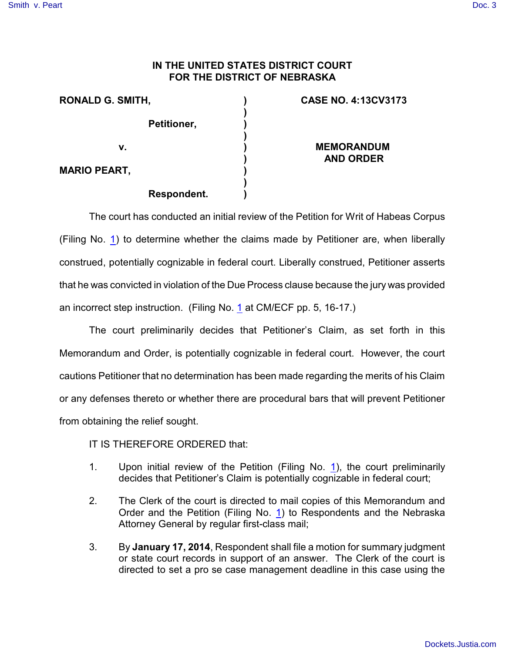## [Smith v. Peart](http://dockets.justia.com/docket/nebraska/nedce/4:2013cv03173/64270/) [Doc. 3](http://docs.justia.com/cases/federal/district-courts/nebraska/nedce/4:2013cv03173/64270/3/)

## **IN THE UNITED STATES DISTRICT COURT FOR THE DISTRICT OF NEBRASKA**

| <b>RONALD G. SMITH,</b> | <b>CASE NO. 4:13CV3173</b>            |
|-------------------------|---------------------------------------|
| Petitioner,             |                                       |
| v.                      | <b>MEMORANDUM</b><br><b>AND ORDER</b> |
| <b>MARIO PEART,</b>     |                                       |
| <b>Respondent.</b>      |                                       |

The court has conducted an initial review of the Petition for Writ of Habeas Corpus (Filing No. [1](http://ecf.ned.uscourts.gov/doc1/11302878752)) to determine whether the claims made by Petitioner are, when liberally construed, potentially cognizable in federal court. Liberally construed, Petitioner asserts that he was convicted in violation of the Due Process clause because the jury was provided an incorrect step instruction. (Filing No. [1](http://ecf.ned.uscourts.gov/doc1/11302878752) at CM/ECF pp. 5, 16-17.)

The court preliminarily decides that Petitioner's Claim, as set forth in this Memorandum and Order, is potentially cognizable in federal court. However, the court cautions Petitioner that no determination has been made regarding the merits of his Claim or any defenses thereto or whether there are procedural bars that will prevent Petitioner from obtaining the relief sought.

IT IS THEREFORE ORDERED that:

- 1. Upon initial review of the Petition (Filing No. [1](http://ecf.ned.uscourts.gov/doc1/11302878752)), the court preliminarily decides that Petitioner's Claim is potentially cognizable in federal court;
- 2. The Clerk of the court is directed to mail copies of this Memorandum and Order and the Petition (Filing No. [1](http://ecf.ned.uscourts.gov/doc1/11302878752)) to Respondents and the Nebraska Attorney General by regular first-class mail;
- 3. By **January 17, 2014**, Respondent shall file a motion for summary judgment or state court records in support of an answer. The Clerk of the court is directed to set a pro se case management deadline in this case using the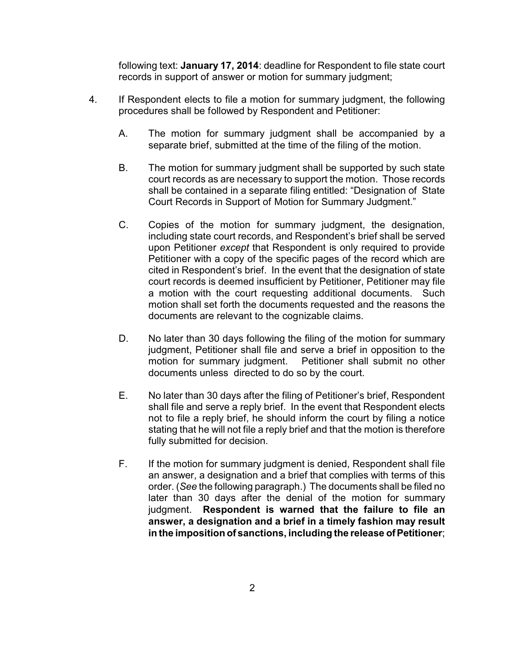following text: **January 17, 2014**: deadline for Respondent to file state court records in support of answer or motion for summary judgment;

- 4. If Respondent elects to file a motion for summary judgment, the following procedures shall be followed by Respondent and Petitioner:
	- A. The motion for summary judgment shall be accompanied by a separate brief, submitted at the time of the filing of the motion.
	- B. The motion for summary judgment shall be supported by such state court records as are necessary to support the motion. Those records shall be contained in a separate filing entitled: "Designation of State Court Records in Support of Motion for Summary Judgment."
	- C. Copies of the motion for summary judgment, the designation, including state court records, and Respondent's brief shall be served upon Petitioner *except* that Respondent is only required to provide Petitioner with a copy of the specific pages of the record which are cited in Respondent's brief. In the event that the designation of state court records is deemed insufficient by Petitioner, Petitioner may file a motion with the court requesting additional documents. Such motion shall set forth the documents requested and the reasons the documents are relevant to the cognizable claims.
	- D. No later than 30 days following the filing of the motion for summary judgment, Petitioner shall file and serve a brief in opposition to the motion for summary judgment. Petitioner shall submit no other documents unless directed to do so by the court.
	- E. No later than 30 days after the filing of Petitioner's brief, Respondent shall file and serve a reply brief. In the event that Respondent elects not to file a reply brief, he should inform the court by filing a notice stating that he will not file a reply brief and that the motion is therefore fully submitted for decision.
	- F. If the motion for summary judgment is denied, Respondent shall file an answer, a designation and a brief that complies with terms of this order. (*See* the following paragraph.) The documents shall be filed no later than 30 days after the denial of the motion for summary judgment. **Respondent is warned that the failure to file an answer, a designation and a brief in a timely fashion may result in the imposition of sanctions, including the release of Petitioner;**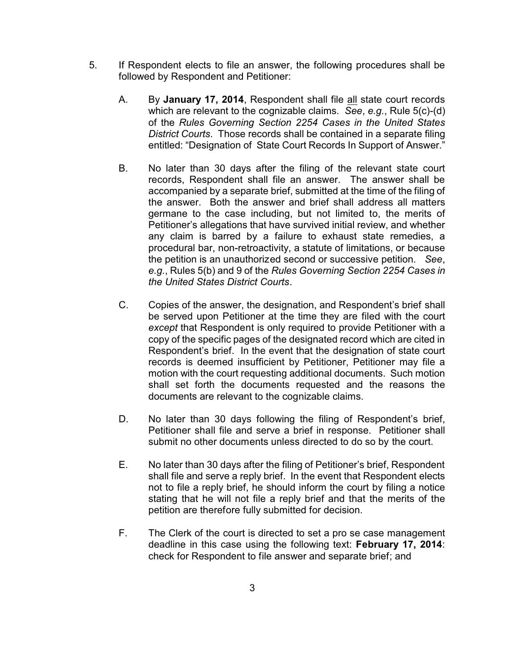- 5. If Respondent elects to file an answer, the following procedures shall be followed by Respondent and Petitioner:
	- A. By **January 17, 2014**, Respondent shall file all state court records which are relevant to the cognizable claims. *See*, *e.g.*, Rule 5(c)-(d) of the *Rules Governing Section 2254 Cases in the United States District Courts*. Those records shall be contained in a separate filing entitled: "Designation of State Court Records In Support of Answer."
	- B. No later than 30 days after the filing of the relevant state court records, Respondent shall file an answer. The answer shall be accompanied by a separate brief, submitted at the time of the filing of the answer. Both the answer and brief shall address all matters germane to the case including, but not limited to, the merits of Petitioner's allegations that have survived initial review, and whether any claim is barred by a failure to exhaust state remedies, a procedural bar, non-retroactivity, a statute of limitations, or because the petition is an unauthorized second or successive petition. *See*, *e.g.*, Rules 5(b) and 9 of the *Rules Governing Section 2254 Cases in the United States District Courts*.
	- C. Copies of the answer, the designation, and Respondent's brief shall be served upon Petitioner at the time they are filed with the court *except* that Respondent is only required to provide Petitioner with a copy of the specific pages of the designated record which are cited in Respondent's brief. In the event that the designation of state court records is deemed insufficient by Petitioner, Petitioner may file a motion with the court requesting additional documents. Such motion shall set forth the documents requested and the reasons the documents are relevant to the cognizable claims.
	- D. No later than 30 days following the filing of Respondent's brief, Petitioner shall file and serve a brief in response. Petitioner shall submit no other documents unless directed to do so by the court.
	- E. No later than 30 days after the filing of Petitioner's brief, Respondent shall file and serve a reply brief. In the event that Respondent elects not to file a reply brief, he should inform the court by filing a notice stating that he will not file a reply brief and that the merits of the petition are therefore fully submitted for decision.
	- F. The Clerk of the court is directed to set a pro se case management deadline in this case using the following text: **February 17, 2014**: check for Respondent to file answer and separate brief; and